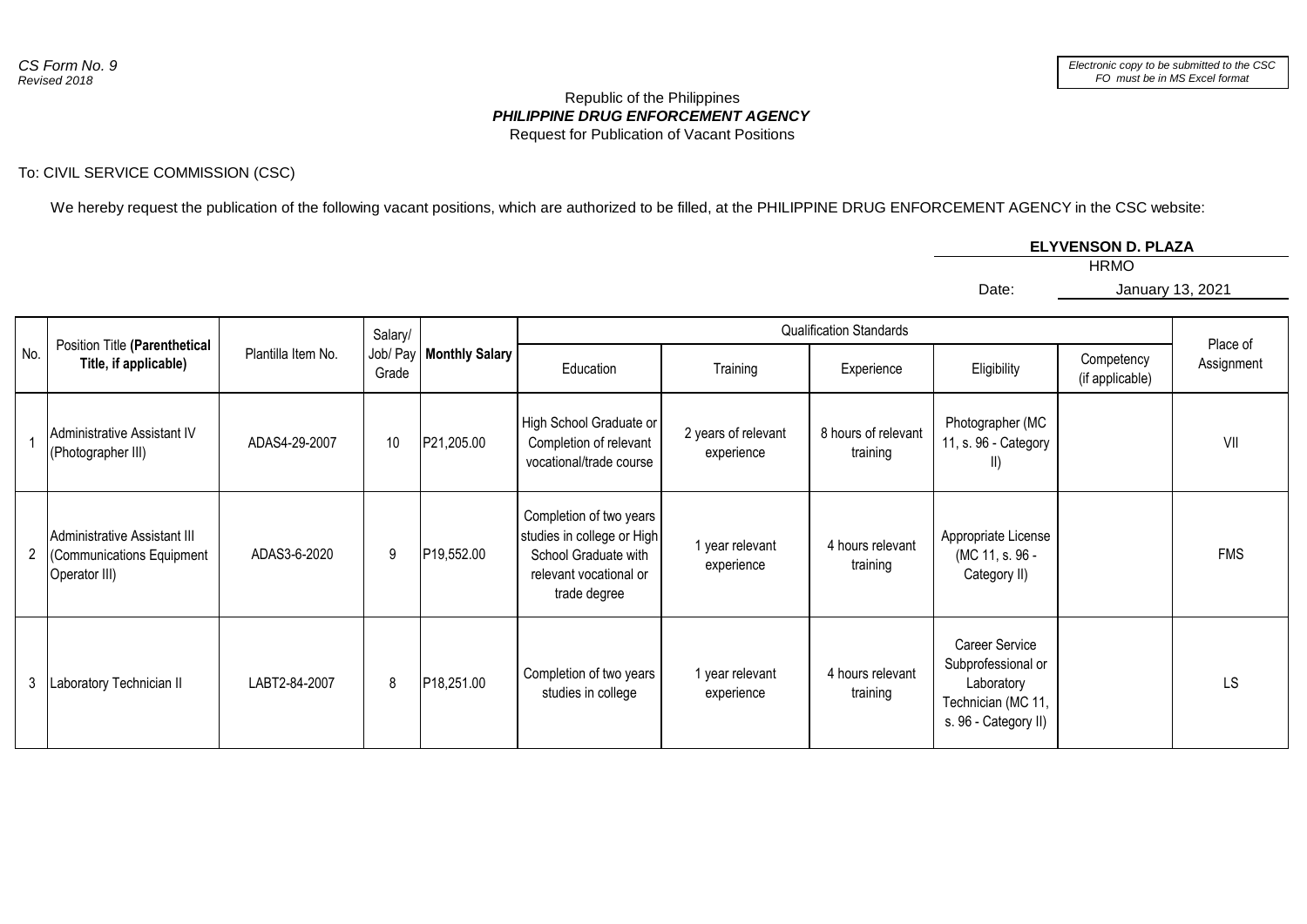## *PHILIPPINE DRUG ENFORCEMENT AGENCY* Republic of the Philippines Request for Publication of Vacant Positions

## To: CIVIL SERVICE COMMISSION (CSC)

We hereby request the publication of the following vacant positions, which are authorized to be filled, at the PHILIPPINE DRUG ENFORCEMENT AGENCY in the CSC website:

## **ELYVENSON D. PLAZA**

Date:

HRMO

January 13, 2021

| No. | Position Title (Parenthetical<br>Title, if applicable)                     | Plantilla Item No. | Salary/<br>Grade | Job/ Pay   Monthly Salary | <b>Qualification Standards</b>                                                                                          |                                   |                                 |                                                                                                  |                               |                        |
|-----|----------------------------------------------------------------------------|--------------------|------------------|---------------------------|-------------------------------------------------------------------------------------------------------------------------|-----------------------------------|---------------------------------|--------------------------------------------------------------------------------------------------|-------------------------------|------------------------|
|     |                                                                            |                    |                  |                           | Education                                                                                                               | Training                          | Experience                      | Eligibility                                                                                      | Competency<br>(if applicable) | Place of<br>Assignment |
|     | Administrative Assistant IV<br>(Photographer III)                          | ADAS4-29-2007      | 10               | P21,205.00                | High School Graduate or<br>Completion of relevant<br>vocational/trade course                                            | 2 years of relevant<br>experience | 8 hours of relevant<br>training | Photographer (MC<br>11, s. 96 - Category<br>$\parallel$                                          |                               | VII                    |
|     | Administrative Assistant III<br>(Communications Equipment<br>Operator III) | ADAS3-6-2020       | 9                | P19,552.00                | Completion of two years<br>studies in college or High<br>School Graduate with<br>relevant vocational or<br>trade degree | 1 year relevant<br>experience     | 4 hours relevant<br>training    | Appropriate License<br>(MC 11, s. 96 -<br>Category II)                                           |                               | <b>FMS</b>             |
|     | Laboratory Technician II                                                   | LABT2-84-2007      | 8                | P18,251.00                | Completion of two years<br>studies in college                                                                           | 1 year relevant<br>experience     | 4 hours relevant<br>training    | Career Service<br>Subprofessional or<br>Laboratory<br>Technician (MC 11,<br>s. 96 - Category II) |                               | LS                     |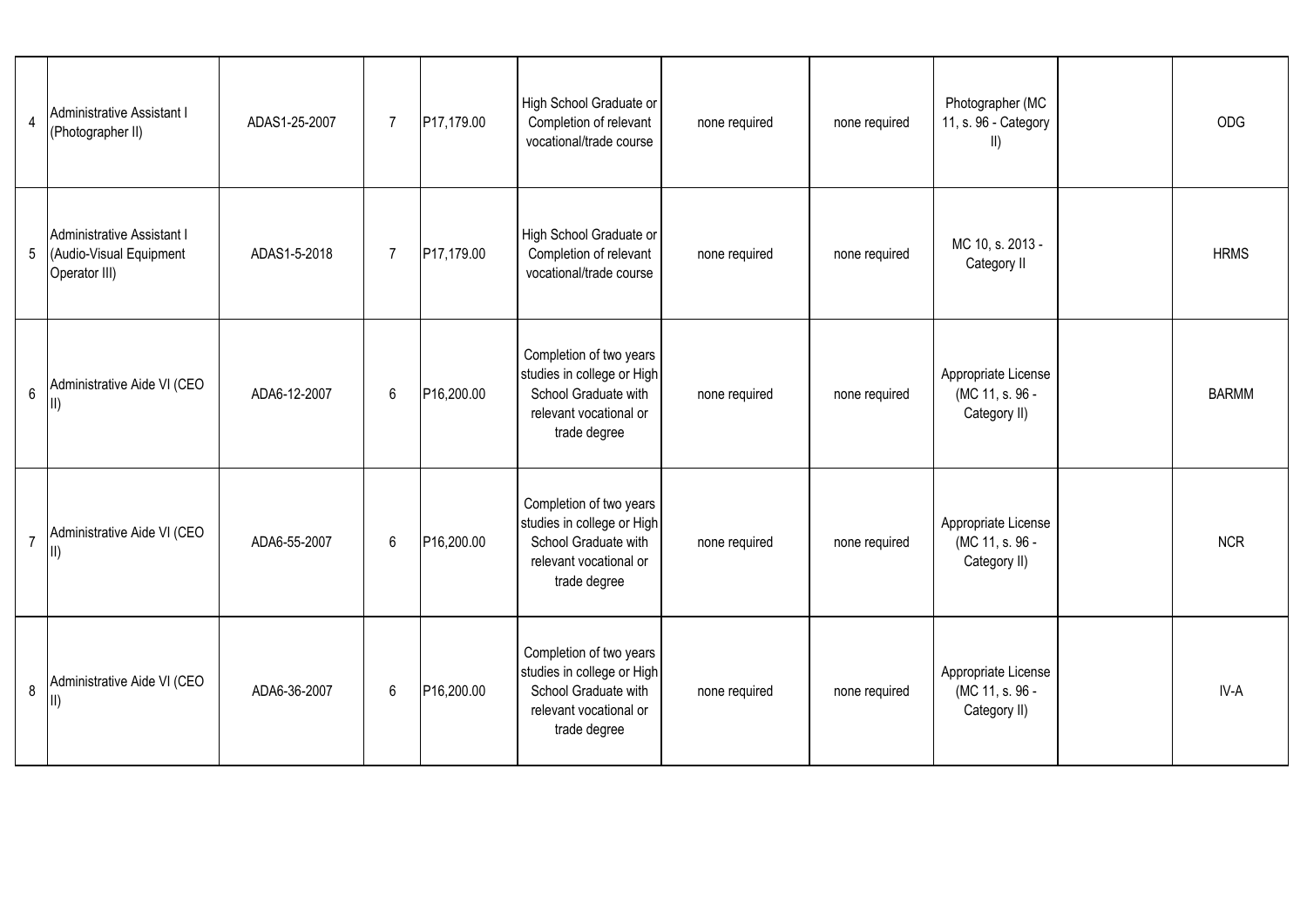| $\overline{4}$ | Administrative Assistant I<br>(Photographer II)                        | ADAS1-25-2007 | $\overline{7}$ | P17,179.00 | High School Graduate or<br>Completion of relevant<br>vocational/trade course                                            | none required | none required | Photographer (MC<br>11, s. 96 - Category<br>$\parallel$ | <b>ODG</b>   |
|----------------|------------------------------------------------------------------------|---------------|----------------|------------|-------------------------------------------------------------------------------------------------------------------------|---------------|---------------|---------------------------------------------------------|--------------|
| 5              | Administrative Assistant I<br>(Audio-Visual Equipment<br>Operator III) | ADAS1-5-2018  | $\overline{7}$ | P17,179.00 | High School Graduate or<br>Completion of relevant<br>vocational/trade course                                            | none required | none required | MC 10, s. 2013 -<br>Category II                         | <b>HRMS</b>  |
| $6\phantom{a}$ | Administrative Aide VI (CEO<br>$\mathbb{I}$                            | ADA6-12-2007  | 6              | P16,200.00 | Completion of two years<br>studies in college or High<br>School Graduate with<br>relevant vocational or<br>trade degree | none required | none required | Appropriate License<br>(MC 11, s. 96 -<br>Category II)  | <b>BARMM</b> |
| $\overline{7}$ | Administrative Aide VI (CEO<br>$\parallel$                             | ADA6-55-2007  | $6\,$          | P16,200.00 | Completion of two years<br>studies in college or High<br>School Graduate with<br>relevant vocational or<br>trade degree | none required | none required | Appropriate License<br>(MC 11, s. 96 -<br>Category II)  | <b>NCR</b>   |
| 8              | Administrative Aide VI (CEO<br>$\parallel$                             | ADA6-36-2007  | 6              | P16,200.00 | Completion of two years<br>studies in college or High<br>School Graduate with<br>relevant vocational or<br>trade degree | none required | none required | Appropriate License<br>(MC 11, s. 96 -<br>Category II)  | IV-A         |